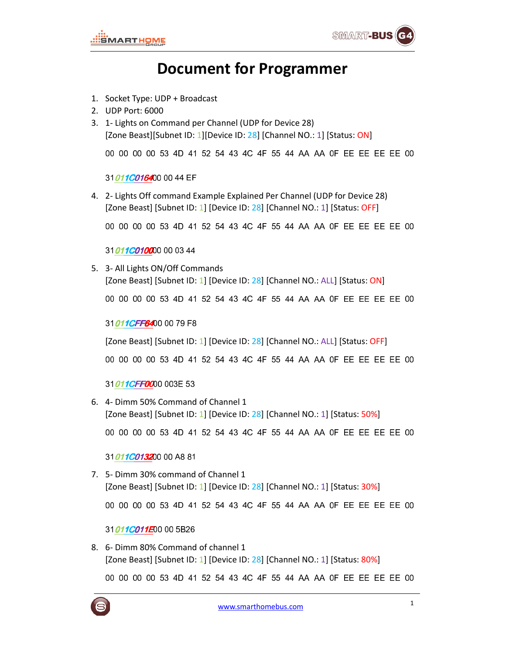# Document for Programmer

- 1. Socket Type: UDP + Broadcast
- 2. UDP Port: 6000
- 3. 1- Lights on Command per Channel (UDP for Device 28) [Zone Beast][Subnet ID: 1][Device ID: 28] [Channel NO.: 1] [Status: ON]

00 00 00 00 53 4D 41 52 54 43 4C 4F 55 44 AA AA 0F EE EE EE EE 00

## 31011C016400 00 44 EF

4. 2- Lights Off command Example Explained Per Channel (UDP for Device 28) [Zone Beast] [Subnet ID: 1] [Device ID: 28] [Channel NO.: 1] [Status: OFF]

00 00 00 00 53 4D 41 52 54 43 4C 4F 55 44 AA AA 0F EE EE EE EE 00

## 31011C010000 00 03 44

5. 3- All Lights ON/Off Commands [Zone Beast] [Subnet ID: 1] [Device ID: 28] [Channel NO.: ALL] [Status: ON] 00 00 00 00 53 4D 41 52 54 43 4C 4F 55 44 AA AA 0F EE EE EE EE 00

31011CFF6400 00 79 F8

[Zone Beast] [Subnet ID: 1] [Device ID: 28] [Channel NO.: ALL] [Status: OFF]

00 00 00 00 53 4D 41 52 54 43 4C 4F 55 44 AA AA 0F EE EE EE EE 00

31011CFF0000 003E 53

6. 4- Dimm 50% Command of Channel 1 [Zone Beast] [Subnet ID: 1] [Device ID: 28] [Channel NO.: 1] [Status: 50%]

00 00 00 00 53 4D 41 52 54 43 4C 4F 55 44 AA AA 0F EE EE EE EE 00

31011C013200 00 A8 81

- 7. 5- Dimm 30% command of Channel 1 [Zone Beast] [Subnet ID: 1] [Device ID: 28] [Channel NO.: 1] [Status: 30%] 00 00 00 00 53 4D 41 52 54 43 4C 4F 55 44 AA AA 0F EE EE EE EE 00 31011C011E00 00 5B26
- 8. 6- Dimm 80% Command of channel 1 [Zone Beast] [Subnet ID: 1] [Device ID: 28] [Channel NO.: 1] [Status: 80%]

00 00 00 00 53 4D 41 52 54 43 4C 4F 55 44 AA AA 0F EE EE EE EE 00

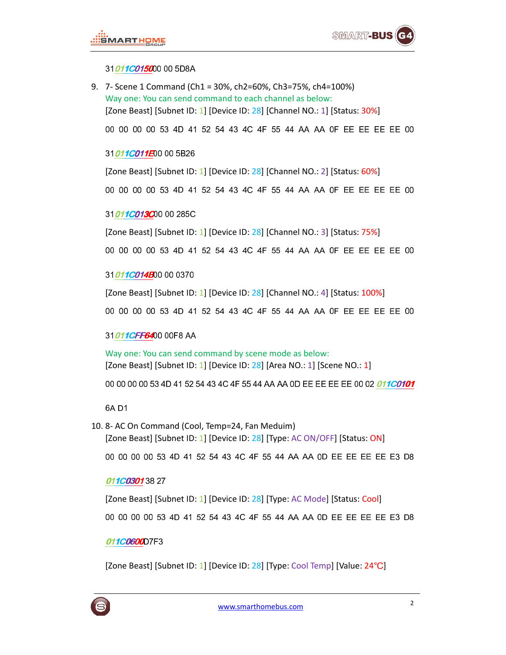## 31011C015000 00 5D8A

9. 7- Scene 1 Command (Ch1 = 30%, ch2=60%, Ch3=75%, ch4=100%) Way one: You can send command to each channel as below: [Zone Beast] [Subnet ID: 1] [Device ID: 28] [Channel NO.: 1] [Status: 30%]

00 00 00 00 53 4D 41 52 54 43 4C 4F 55 44 AA AA 0F EE EE EE EE 00

### 31011C011E00 00 5B26

[Zone Beast] [Subnet ID: 1] [Device ID: 28] [Channel NO.: 2] [Status: 60%]

00 00 00 00 53 4D 41 52 54 43 4C 4F 55 44 AA AA 0F EE EE EE EE 00

### 31011C013C00 00 285C

[Zone Beast] [Subnet ID: 1] [Device ID: 28] [Channel NO.: 3] [Status: 75%]

00 00 00 00 53 4D 41 52 54 43 4C 4F 55 44 AA AA 0F EE EE EE EE 00

#### 31*011C014B*00 00 0370

[Zone Beast] [Subnet ID: 1] [Device ID: 28] [Channel NO.: 4] [Status: 100%] 00 00 00 00 53 4D 41 52 54 43 4C 4F 55 44 AA AA 0F EE EE EE EE 00

### 31011CFF6400 00F8 AA

Way one: You can send command by scene mode as below: [Zone Beast] [Subnet ID: 1] [Device ID: 28] [Area NO.: 1] [Scene NO.: 1]

00 00 00 00 53 4D 41 52 54 43 4C 4F 55 44 AA AA 0D EE EE EE EE O0 02 011C0101

#### 6A D1

- 10. 8- AC On Command (Cool, Temp=24, Fan Meduim)
	- [Zone Beast] [Subnet ID: 1] [Device ID: 28] [Type: AC ON/OFF] [Status: ON]

00 00 00 00 53 4D 41 52 54 43 4C 4F 55 44 AA AA 0D EE EE EE EE E3 D8

#### 011C03013827

[Zone Beast] [Subnet ID: 1] [Device ID: 28] [Type: AC Mode] [Status: Cool]

00 00 00 00 53 4D 41 52 54 43 4C 4F 55 44 AA AA 0D EE EE EE EE E3 D8

### 011C0600D7F3

[Zone Beast] [Subnet ID: 1] [Device ID: 28] [Type: Cool Temp] [Value: 24℃]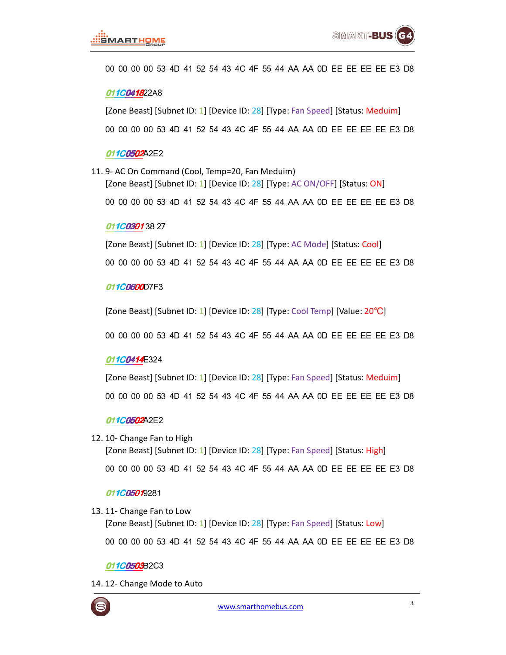## 00 00 00 00 53 4D 41 52 54 43 4C 4F 55 44 AA AA 0D EE EE EE EE E3 D8

## 011C041822A8

[Zone Beast] [Subnet ID: 1] [Device ID: 28] [Type: Fan Speed] [Status: Meduim] 00 00 00 00 53 4D 41 52 54 43 4C 4F 55 44 AA AA 0D EE EE EE EE E3 D8

#### 011C0502A2E2

11. 9- AC On Command (Cool, Temp=20, Fan Meduim)

[Zone Beast] [Subnet ID: 1] [Device ID: 28] [Type: AC ON/OFF] [Status: ON]

00 00 00 00 53 4D 41 52 54 43 4C 4F 55 44 AA AA 0D EE EE EE EE E3 D8

### 011C03013827

[Zone Beast] [Subnet ID: 1] [Device ID: 28] [Type: AC Mode] [Status: Cool]

00 00 00 00 53 4D 41 52 54 43 4C 4F 55 44 AA AA 0D EE EE EE EE E3 D8

### 011C0600D7F3

[Zone Beast] [Subnet ID: 1] [Device ID: 28] [Type: Cool Temp] [Value: 20℃]

00 00 00 00 53 4D 41 52 54 43 4C 4F 55 44 AA AA 0D EE EE EE EE E3 D8

## 011C0414E324

[Zone Beast] [Subnet ID: 1] [Device ID: 28] [Type: Fan Speed] [Status: Meduim] 00 00 00 00 53 4D 41 52 54 43 4C 4F 55 44 AA AA 0D EE EE EE EE E3 D8

### 011C0502A2E2

- 12. 10- Change Fan to High
	- [Zone Beast] [Subnet ID: 1] [Device ID: 28] [Type: Fan Speed] [Status: High] 00 00 00 00 53 4D 41 52 54 43 4C 4F 55 44 AA AA 0D EE EE EE EE E3 D8

### 011C05019281

13. 11- Change Fan to Low [Zone Beast] [Subnet ID: 1] [Device ID: 28] [Type: Fan Speed] [Status: Low] 00 00 00 00 53 4D 41 52 54 43 4C 4F 55 44 AA AA 0D EE EE EE EE E3 D8

011C0503B2C3

14. 12- Change Mode to Auto

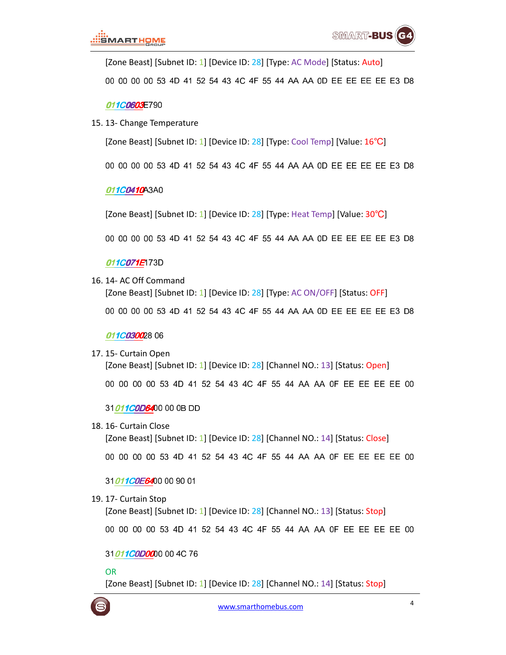[Zone Beast] [Subnet ID: 1] [Device ID: 28] [Type: AC Mode] [Status: Auto]

00 00 00 00 53 4D 41 52 54 43 4C 4F 55 44 AA AA 0D EE EE EE EE E3 D8

#### 011C0603E790

15. 13- Change Temperature

[Zone Beast] [Subnet ID: 1] [Device ID: 28] [Type: Cool Temp] [Value: 16℃]

00 00 00 00 53 4D 41 52 54 43 4C 4F 55 44 AA AA 0D EE EE EE EE E3 D8

#### 011C0410A3A0

[Zone Beast] [Subnet ID: 1] [Device ID: 28] [Type: Heat Temp] [Value: 30℃]

00 00 00 00 53 4D 41 52 54 43 4C 4F 55 44 AA AA 0D EE EE EE EE E3 D8

### 011C071E173D

16. 14- AC Off Command

[Zone Beast] [Subnet ID: 1] [Device ID: 28] [Type: AC ON/OFF] [Status: OFF] 00 00 00 00 53 4D 41 52 54 43 4C 4F 55 44 AA AA 0D EE EE EE EE E3 D8

### 011C030028 06

17. 15- Curtain Open [Zone Beast] [Subnet ID: 1] [Device ID: 28] [Channel NO.: 13] [Status: Open]

00 00 00 00 53 4D 41 52 54 43 4C 4F 55 44 AA AA 0F EE EE EE EE 00

### 31011C0D6400 00 0B DD

### 18. 16- Curtain Close

[Zone Beast] [Subnet ID: 1] [Device ID: 28] [Channel NO.: 14] [Status: Close]

00 00 00 00 53 4D 41 52 54 43 4C 4F 55 44 AA AA 0F EE EE EE EE 00

### 31011C0E6400 00 90 01

19. 17- Curtain Stop

[Zone Beast] [Subnet ID: 1] [Device ID: 28] [Channel NO.: 13] [Status: Stop]

00 00 00 00 53 4D 41 52 54 43 4C 4F 55 44 AA AA 0F EE EE EE EE 00

### 31011C0D0000 00 4C 76

### OR

[Zone Beast] [Subnet ID: 1] [Device ID: 28] [Channel NO.: 14] [Status: Stop]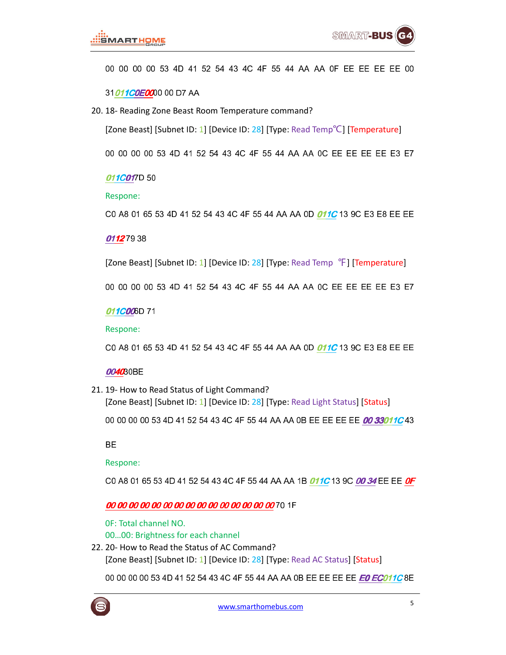## 00 00 00 00 53 4D 41 52 54 43 4C 4F 55 44 AA AA 0F EE EE EE EE 00

31011COEOO 00 D7 AA

20. 18- Reading Zone Beast Room Temperature command?

[Zone Beast] [Subnet ID: 1] [Device ID:  $28$ ] [Type: Read Temp<sup>o</sup>C] [Temperature]

00 00 00 00 53 4D 41 52 54 43 4C 4F 55 44 AA AA 0C EE EE EE EE E3 E7

### 011C017D 50

### Respone:

C0 A8 01 65 53 4D 41 52 54 43 4C 4F 55 44 AA AA 0D 011C 13 9C E3 E8 EE EE

## 011279 38

[Zone Beast] [Subnet ID: 1] [Device ID: 28] [Type: Read Temp <sup>°</sup>F] [Temperature]

00 00 00 00 53 4D 41 52 54 43 4C 4F 55 44 AA AA 0C EE EE EE EE E3 E7

### 011C006D 71

Respone:

C0 A8 01 65 53 4D 41 52 54 43 4C 4F 55 44 AA AA 0D 01 1C 13 9C E3 E8 EE EE

### 004030BE

21. 19- How to Read Status of Light Command?

[Zone Beast] [Subnet ID: 1] [Device ID: 28] [Type: Read Light Status] [Status]

00 00 00 00 53 4D 41 52 54 43 4C 4F 55 44 AA AA 0B EE EE EE EE OO 33011C 43

BE

## Respone:

C0 A8 01 65 53 4D 41 52 54 43 4C 4F 55 44 AA AA 1B 011C 13 9C 00 34 EE EE OF

## 00 00 00 00 00 00 00 00 00 00 00 00 00 00 00 70 1F

- 0F: Total channel NO.
- 00…00: Brightness for each channel
- 22. 20- How to Read the Status of AC Command?

[Zone Beast] [Subnet ID: 1] [Device ID: 28] [Type: Read AC Status] [Status]

00 00 00 00 53 4D 41 52 54 43 4C 4F 55 44 AA AA 0B EE EE EE EE EE EO ECO11C 8E